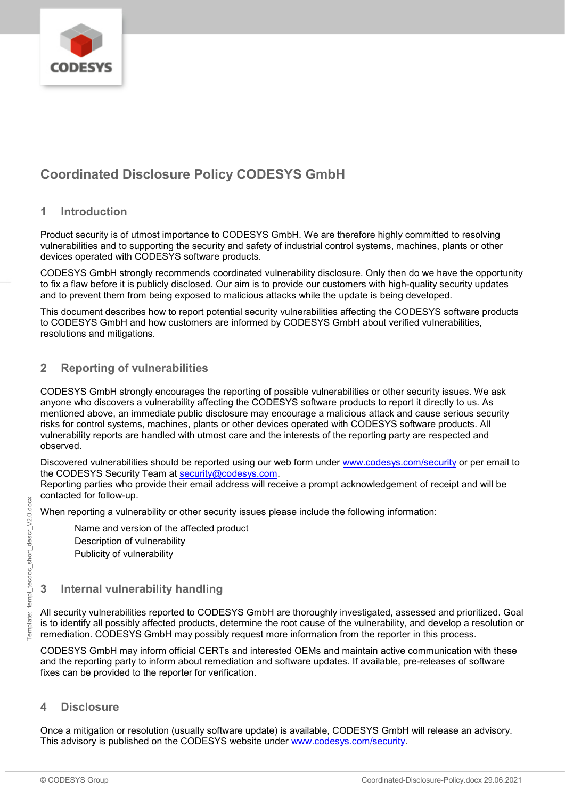

## **Coordinated Disclosure Policy CODESYS GmbH**

#### **1 Introduction**

Product security is of utmost importance to CODESYS GmbH. We are therefore highly committed to resolving vulnerabilities and to supporting the security and safety of industrial control systems, machines, plants or other devices operated with CODESYS software products.

CODESYS GmbH strongly recommends coordinated vulnerability disclosure. Only then do we have the opportunity to fix a flaw before it is publicly disclosed. Our aim is to provide our customers with high-quality security updates and to prevent them from being exposed to malicious attacks while the update is being developed.

This document describes how to report potential security vulnerabilities affecting the CODESYS software products to CODESYS GmbH and how customers are informed by CODESYS GmbH about verified vulnerabilities, resolutions and mitigations.

## **2 Reporting of vulnerabilities**

CODESYS GmbH strongly encourages the reporting of possible vulnerabilities or other security issues. We ask anyone who discovers a vulnerability affecting the CODESYS software products to report it directly to us. As mentioned above, an immediate public disclosure may encourage a malicious attack and cause serious security risks for control systems, machines, plants or other devices operated with CODESYS software products. All vulnerability reports are handled with utmost care and the interests of the reporting party are respected and observed.

Discovered vulnerabilities should be reported using our web form under [www.codesys.com/security](https://www.codesys.com/security) or per email to the CODESYS Security Team at [security@codesys.com.](mailto:security@codesys.com)

Reporting parties who provide their email address will receive a prompt acknowledgement of receipt and will be contacted for follow-up.

When reporting a vulnerability or other security issues please include the following information:

Name and version of the affected product

Description of vulnerability Publicity of vulnerability

# **3 Internal vulnerability handling**

All security vulnerabilities reported to CODESYS GmbH are thoroughly investigated, assessed and prioritized. Goal is to identify all possibly affected products, determine the root cause of the vulnerability, and develop a resolution or remediation. CODESYS GmbH may possibly request more information from the reporter in this process.

CODESYS GmbH may inform official CERTs and interested OEMs and maintain active communication with these and the reporting party to inform about remediation and software updates. If available, pre-releases of software fixes can be provided to the reporter for verification.

#### **4 Disclosure**

Once a mitigation or resolution (usually software update) is available, CODESYS GmbH will release an advisory. This advisory is published on the CODESYS website under [www.codesys.com/security.](https://www.codesys.com/security)